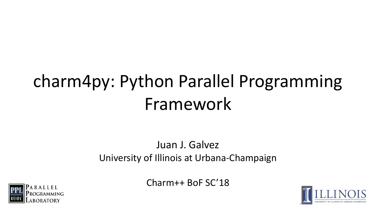### charm4py: Python Parallel Programming Framework

#### Juan J. Galvez University of Illinois at Urbana-Champaign

Charm++ BoF SC'18



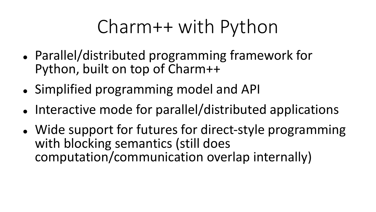# Charm++ with Python

- Parallel/distributed programming framework for Python, built on top of Charm++
- Simplified programming model and API
- Interactive mode for parallel/distributed applications
- Wide support for futures for direct-style programming with blocking semantics (still does computation/communication overlap internally)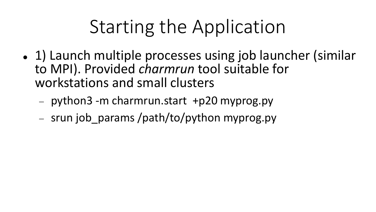# Starting the Application

- 1) Launch multiple processes using job launcher (similar to MPI). Provided *charmrun* tool suitable for workstations and small clusters
	- $-$  python3 -m charmrun.start +p20 myprog.py
	- srun job params /path/to/python myprog.py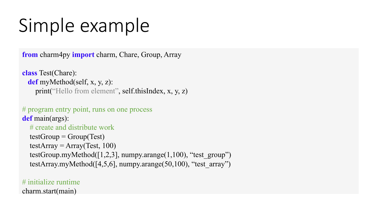# Simple example

**from** charm4py **import** charm, Chare, Group, Array

**class** Test(Chare): **def** myMethod(self, x, y, z): print("Hello from element", self.thisIndex, x, y, z)

```
# program entry point, runs on one process
def main(args):
```
# create and distribute work  $testGroup = Group(Test)$  $testArray = Array(Test, 100)$ testGroup.myMethod( $[1,2,3]$ , numpy.arange( $1,100$ ), "test\_group") testArray.myMethod( $[4,5,6]$ , numpy.arange( $50,100$ ), "test\_array")

# initialize runtime charm.start(main)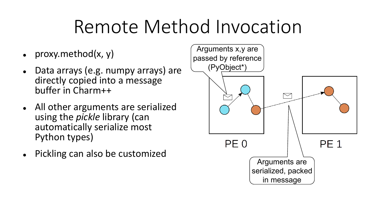## Remote Method Invocation

- proxy.method(x, y)
- Data arrays (e.g. numpy arrays) are directly copied into a message buffer in Charm++
- All other arguments are serialized using the *pickle* library (can automatically serialize most Python types)
- Pickling can also be customized

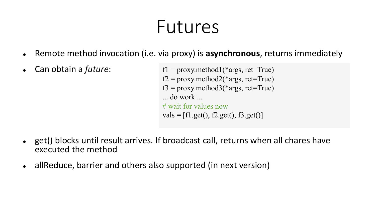#### Futures

- Remote method invocation (i.e. via proxy) is **asynchronous**, returns immediately
- Can obtain a *future*:

 $f1 = \text{prox}$ y.method $1$ (\*args, ret=True)  $f2 = \text{proxy}.\text{method2}(*\text{args}, \text{ret}=\text{True})$  $f3 = \text{proxy.method3}$ (\*args, ret=True) ... do work ... # wait for values now  $vals = [f1.get(), f2.get(), f3.get()]$ 

- get() blocks until result arrives. If broadcast call, returns when all chares have executed the method
- allReduce, barrier and others also supported (in next version)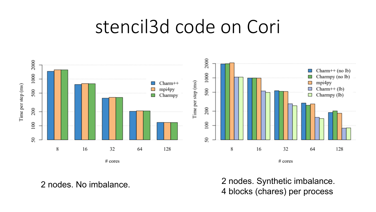#### stencil3d code on Cori



2 nodes. No imbalance. 2 nodes. Synthetic imbalance. 4 blocks (chares) per process